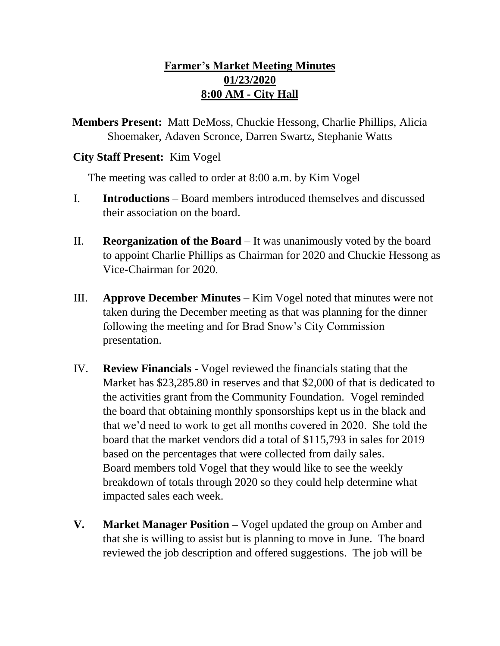## **Farmer's Market Meeting Minutes 01/23/2020 8:00 AM - City Hall**

**Members Present:** Matt DeMoss, Chuckie Hessong, Charlie Phillips, Alicia Shoemaker, Adaven Scronce, Darren Swartz, Stephanie Watts

## **City Staff Present:** Kim Vogel

The meeting was called to order at 8:00 a.m. by Kim Vogel

- I. **Introductions**  Board members introduced themselves and discussed their association on the board.
- II. **Reorganization of the Board** It was unanimously voted by the board to appoint Charlie Phillips as Chairman for 2020 and Chuckie Hessong as Vice-Chairman for 2020.
- III. **Approve December Minutes** Kim Vogel noted that minutes were not taken during the December meeting as that was planning for the dinner following the meeting and for Brad Snow's City Commission presentation.
- IV. **Review Financials** Vogel reviewed the financials stating that the Market has \$23,285.80 in reserves and that \$2,000 of that is dedicated to the activities grant from the Community Foundation. Vogel reminded the board that obtaining monthly sponsorships kept us in the black and that we'd need to work to get all months covered in 2020. She told the board that the market vendors did a total of \$115,793 in sales for 2019 based on the percentages that were collected from daily sales. Board members told Vogel that they would like to see the weekly breakdown of totals through 2020 so they could help determine what impacted sales each week.
- **V. Market Manager Position –** Vogel updated the group on Amber and that she is willing to assist but is planning to move in June. The board reviewed the job description and offered suggestions. The job will be